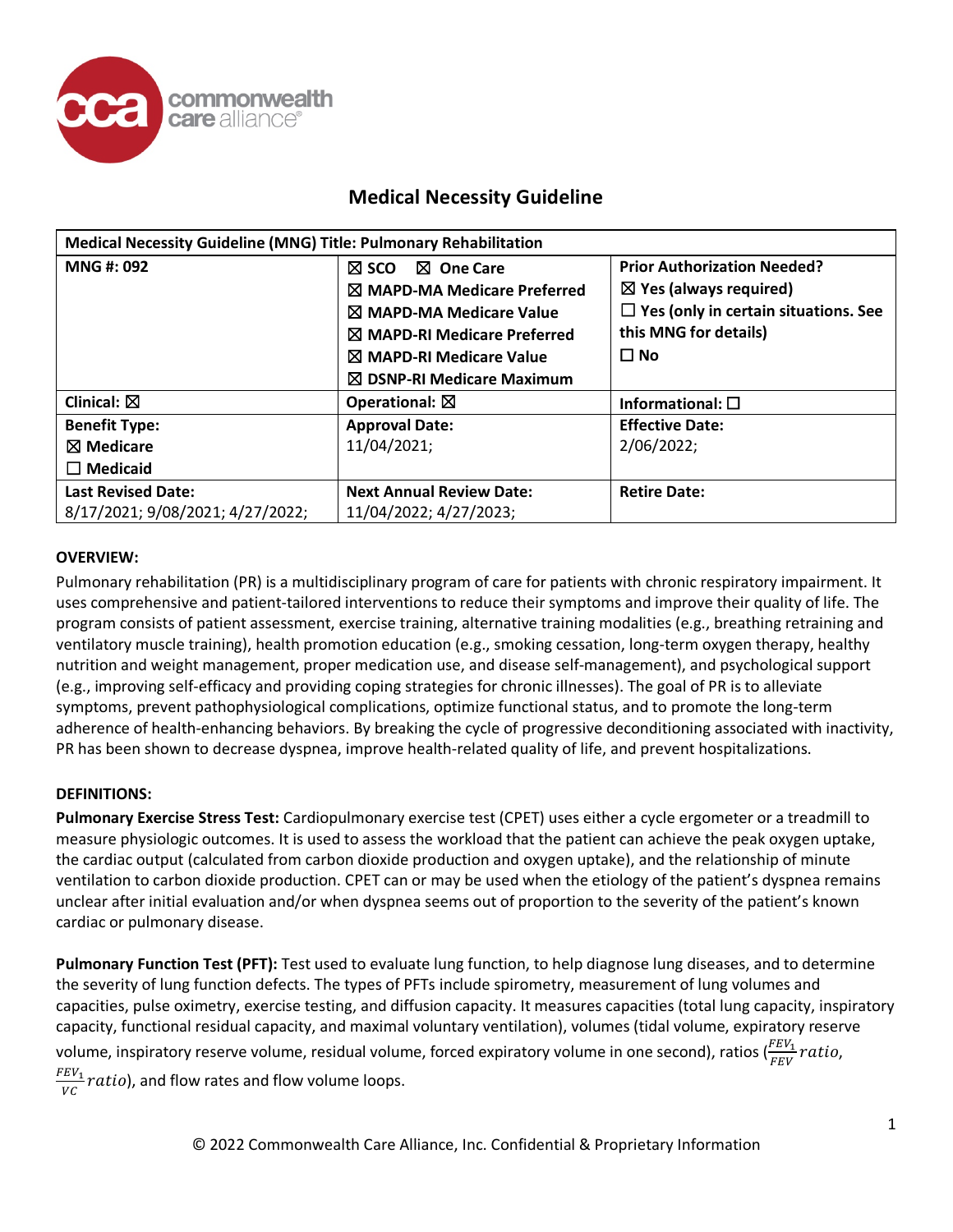

| <b>Medical Necessity Guideline (MNG) Title: Pulmonary Rehabilitation</b> |                                                                                                                                                                                                                                                 |                                                                                                                                                              |  |
|--------------------------------------------------------------------------|-------------------------------------------------------------------------------------------------------------------------------------------------------------------------------------------------------------------------------------------------|--------------------------------------------------------------------------------------------------------------------------------------------------------------|--|
| <b>MNG#: 092</b>                                                         | $\boxtimes$ One Care<br>$\boxtimes$ sco<br>$\boxtimes$ MAPD-MA Medicare Preferred<br>$\boxtimes$ MAPD-MA Medicare Value<br>$\boxtimes$ MAPD-RI Medicare Preferred<br>$\boxtimes$ MAPD-RI Medicare Value<br>$\boxtimes$ DSNP-RI Medicare Maximum | <b>Prior Authorization Needed?</b><br>$\boxtimes$ Yes (always required)<br>$\Box$ Yes (only in certain situations. See<br>this MNG for details)<br>$\Box$ No |  |
| Clinical: $\boxtimes$                                                    | Operational: $\boxtimes$                                                                                                                                                                                                                        | Informational: $\square$                                                                                                                                     |  |
| <b>Benefit Type:</b>                                                     | <b>Approval Date:</b>                                                                                                                                                                                                                           | <b>Effective Date:</b>                                                                                                                                       |  |
| $\boxtimes$ Medicare                                                     | 11/04/2021;                                                                                                                                                                                                                                     | 2/06/2022;                                                                                                                                                   |  |
| $\Box$ Medicaid                                                          |                                                                                                                                                                                                                                                 |                                                                                                                                                              |  |
| <b>Last Revised Date:</b>                                                | <b>Next Annual Review Date:</b>                                                                                                                                                                                                                 | <b>Retire Date:</b>                                                                                                                                          |  |
| 8/17/2021; 9/08/2021; 4/27/2022;                                         | 11/04/2022; 4/27/2023;                                                                                                                                                                                                                          |                                                                                                                                                              |  |

#### **OVERVIEW:**

Pulmonary rehabilitation (PR) is a multidisciplinary program of care for patients with chronic respiratory impairment. It uses comprehensive and patient-tailored interventions to reduce their symptoms and improve their quality of life. The program consists of patient assessment, exercise training, alternative training modalities (e.g., breathing retraining and ventilatory muscle training), health promotion education (e.g., smoking cessation, long-term oxygen therapy, healthy nutrition and weight management, proper medication use, and disease self-management), and psychological support (e.g., improving self-efficacy and providing coping strategies for chronic illnesses). The goal of PR is to alleviate symptoms, prevent pathophysiological complications, optimize functional status, and to promote the long-term adherence of health-enhancing behaviors. By breaking the cycle of progressive deconditioning associated with inactivity, PR has been shown to decrease dyspnea, improve health-related quality of life, and prevent hospitalizations.

#### **DEFINITIONS:**

**Pulmonary Exercise Stress Test:** Cardiopulmonary exercise test (CPET) uses either a cycle ergometer or a treadmill to measure physiologic outcomes. It is used to assess the workload that the patient can achieve the peak oxygen uptake, the cardiac output (calculated from carbon dioxide production and oxygen uptake), and the relationship of minute ventilation to carbon dioxide production. CPET can or may be used when the etiology of the patient's dyspnea remains unclear after initial evaluation and/or when dyspnea seems out of proportion to the severity of the patient's known cardiac or pulmonary disease.

**Pulmonary Function Test (PFT):** Test used to evaluate lung function, to help diagnose lung diseases, and to determine the severity of lung function defects. The types of PFTs include spirometry, measurement of lung volumes and capacities, pulse oximetry, exercise testing, and diffusion capacity. It measures capacities (total lung capacity, inspiratory capacity, functional residual capacity, and maximal voluntary ventilation), volumes (tidal volume, expiratory reserve volume, inspiratory reserve volume, residual volume, forced expiratory volume in one second), ratios ( $\frac{FEV_1}{FEV}ratio$ ,<br>EFV  $FEV_1$  $\frac{v_1}{C}$  ratio), and flow rates and flow volume loops.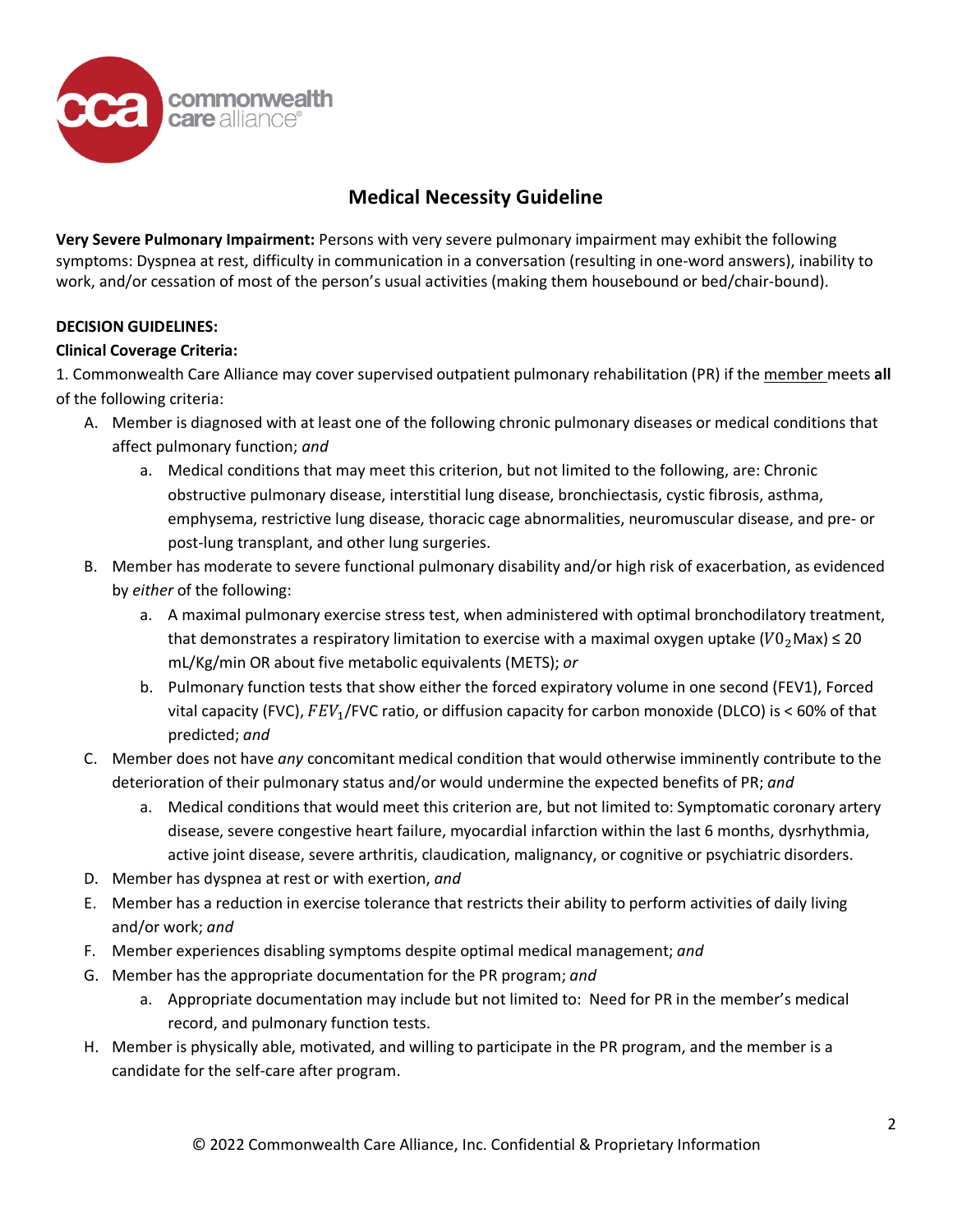

**Very Severe Pulmonary Impairment:** Persons with very severe pulmonary impairment may exhibit the following symptoms: Dyspnea at rest, difficulty in communication in a conversation (resulting in one-word answers), inability to work, and/or cessation of most of the person's usual activities (making them housebound or bed/chair-bound).

#### **DECISION GUIDELINES:**

#### **Clinical Coverage Criteria:**

1. Commonwealth Care Alliance may cover supervised outpatient pulmonary rehabilitation (PR) if the member meets **all** of the following criteria:

- A. Member is diagnosed with at least one of the following chronic pulmonary diseases or medical conditions that affect pulmonary function; *and*
	- a. Medical conditions that may meet this criterion, but not limited to the following, are: Chronic obstructive pulmonary disease, interstitial lung disease, bronchiectasis, cystic fibrosis, asthma, emphysema, restrictive lung disease, thoracic cage abnormalities, neuromuscular disease, and pre- or post-lung transplant, and other lung surgeries.
- B. Member has moderate to severe functional pulmonary disability and/or high risk of exacerbation, as evidenced by *either* of the following:
	- a. A maximal pulmonary exercise stress test, when administered with optimal bronchodilatory treatment, that demonstrates a respiratory limitation to exercise with a maximal oxygen uptake ( $V0<sub>2</sub>$ Max)  $\leq$  20 mL/Kg/min OR about five metabolic equivalents (METS); *or*
	- b. Pulmonary function tests that show either the forced expiratory volume in one second (FEV1), Forced vital capacity (FVC),  $FEV_1/FVC$  ratio, or diffusion capacity for carbon monoxide (DLCO) is < 60% of that predicted; *and*
- C. Member does not have *any* concomitant medical condition that would otherwise imminently contribute to the deterioration of their pulmonary status and/or would undermine the expected benefits of PR; *and*
	- a. Medical conditions that would meet this criterion are, but not limited to: Symptomatic coronary artery disease, severe congestive heart failure, myocardial infarction within the last 6 months, dysrhythmia, active joint disease, severe arthritis, claudication, malignancy, or cognitive or psychiatric disorders.
- D. Member has dyspnea at rest or with exertion, *and*
- E. Member has a reduction in exercise tolerance that restricts their ability to perform activities of daily living and/or work; *and*
- F. Member experiences disabling symptoms despite optimal medical management; *and*
- G. Member has the appropriate documentation for the PR program; *and*
	- a. Appropriate documentation may include but not limited to: Need for PR in the member's medical record, and pulmonary function tests.
- H. Member is physically able, motivated, and willing to participate in the PR program, and the member is a candidate for the self-care after program.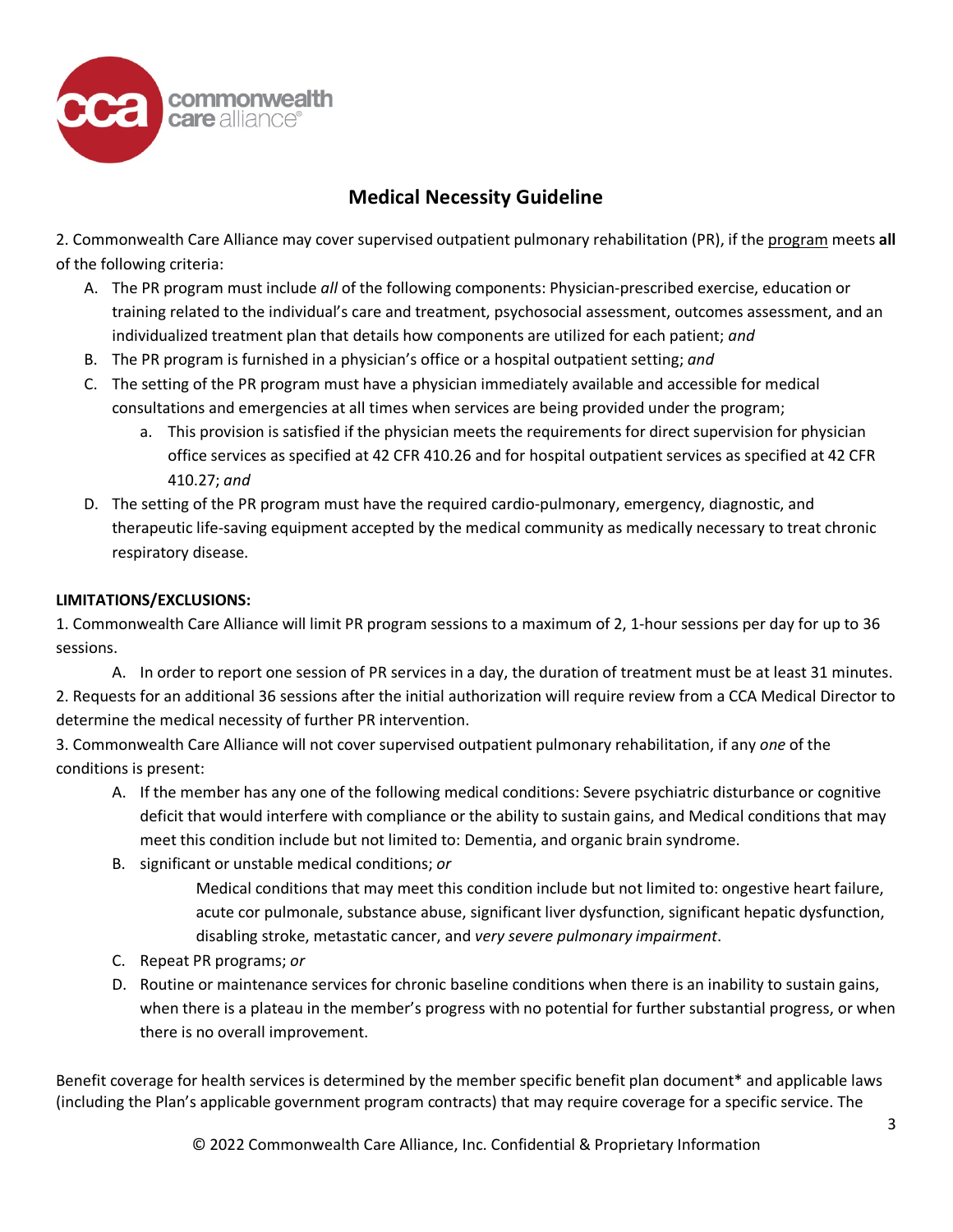

2. Commonwealth Care Alliance may cover supervised outpatient pulmonary rehabilitation (PR), if the program meets **all**  of the following criteria:

- A. The PR program must include *all* of the following components: Physician-prescribed exercise, education or training related to the individual's care and treatment, psychosocial assessment, outcomes assessment, and an individualized treatment plan that details how components are utilized for each patient; *and*
- B. The PR program is furnished in a physician's office or a hospital outpatient setting; *and*
- C. The setting of the PR program must have a physician immediately available and accessible for medical consultations and emergencies at all times when services are being provided under the program;
	- a. This provision is satisfied if the physician meets the requirements for direct supervision for physician office services as specified at 42 CFR 410.26 and for hospital outpatient services as specified at 42 CFR 410.27; *and*
- D. The setting of the PR program must have the required cardio-pulmonary, emergency, diagnostic, and therapeutic life-saving equipment accepted by the medical community as medically necessary to treat chronic respiratory disease.

### **LIMITATIONS/EXCLUSIONS:**

1. Commonwealth Care Alliance will limit PR program sessions to a maximum of 2, 1-hour sessions per day for up to 36 sessions.

A. In order to report one session of PR services in a day, the duration of treatment must be at least 31 minutes. 2. Requests for an additional 36 sessions after the initial authorization will require review from a CCA Medical Director to determine the medical necessity of further PR intervention.

3. Commonwealth Care Alliance will not cover supervised outpatient pulmonary rehabilitation, if any *one* of the conditions is present:

- A. If the member has any one of the following medical conditions: Severe psychiatric disturbance or cognitive deficit that would interfere with compliance or the ability to sustain gains, and Medical conditions that may meet this condition include but not limited to: Dementia, and organic brain syndrome.
- B. significant or unstable medical conditions; *or*
	- Medical conditions that may meet this condition include but not limited to: ongestive heart failure, acute cor pulmonale, substance abuse, significant liver dysfunction, significant hepatic dysfunction, disabling stroke, metastatic cancer, and *very severe pulmonary impairment*.
- C. Repeat PR programs; *or*
- D. Routine or maintenance services for chronic baseline conditions when there is an inability to sustain gains, when there is a plateau in the member's progress with no potential for further substantial progress, or when there is no overall improvement.

Benefit coverage for health services is determined by the member specific benefit plan document\* and applicable laws (including the Plan's applicable government program contracts) that may require coverage for a specific service. The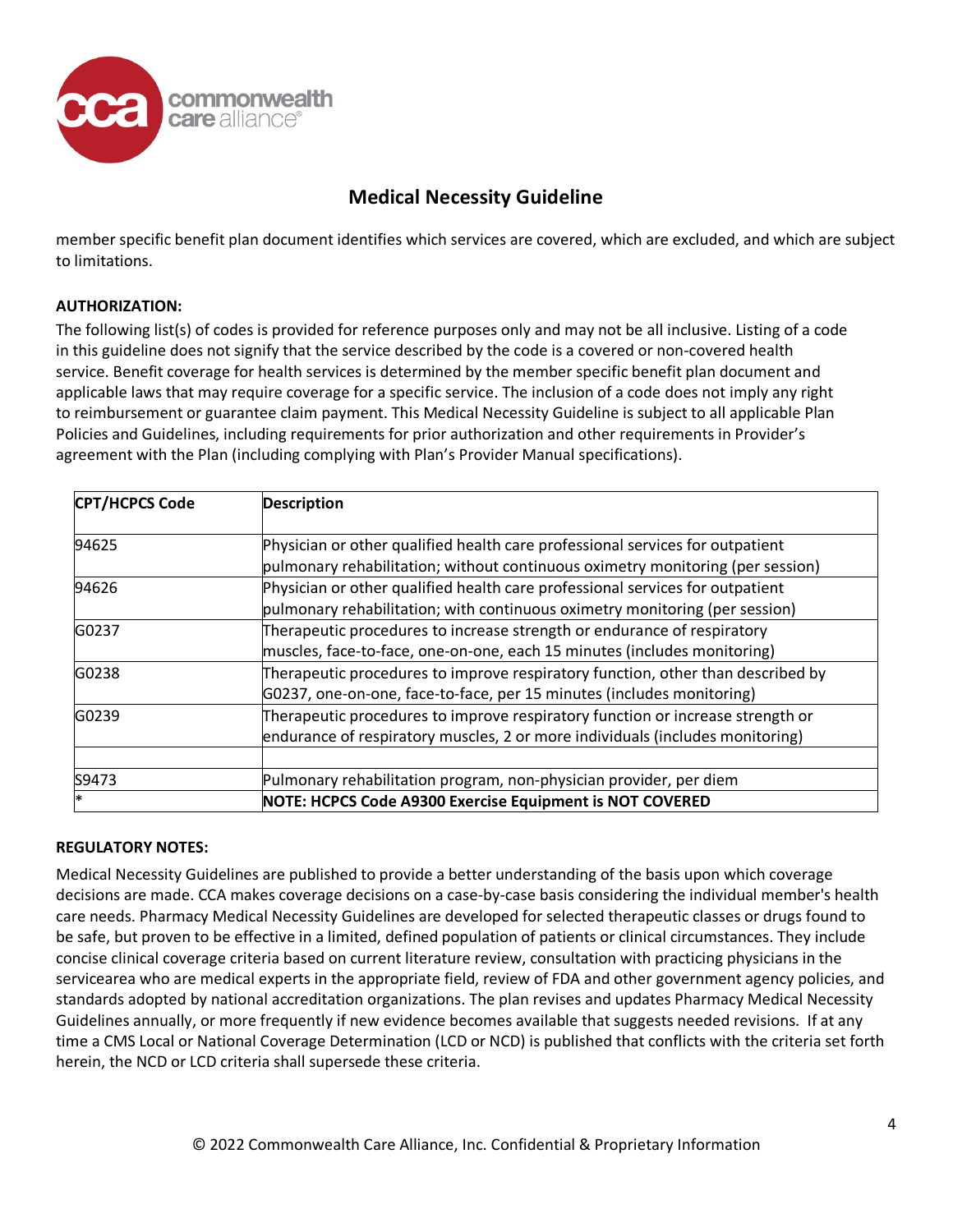

member specific benefit plan document identifies which services are covered, which are excluded, and which are subject to limitations.

#### **AUTHORIZATION:**

The following list(s) of codes is provided for reference purposes only and may not be all inclusive. Listing of a code in this guideline does not signify that the service described by the code is a covered or non-covered health service. Benefit coverage for health services is determined by the member specific benefit plan document and applicable laws that may require coverage for a specific service. The inclusion of a code does not imply any right to reimbursement or guarantee claim payment. This Medical Necessity Guideline is subject to all applicable Plan Policies and Guidelines, including requirements for prior authorization and other requirements in Provider's agreement with the Plan (including complying with Plan's Provider Manual specifications).

| <b>CPT/HCPCS Code</b> | <b>Description</b>                                                              |  |
|-----------------------|---------------------------------------------------------------------------------|--|
| 94625                 | Physician or other qualified health care professional services for outpatient   |  |
|                       | pulmonary rehabilitation; without continuous oximetry monitoring (per session)  |  |
| 94626                 | Physician or other qualified health care professional services for outpatient   |  |
|                       | pulmonary rehabilitation; with continuous oximetry monitoring (per session)     |  |
| G0237                 | Therapeutic procedures to increase strength or endurance of respiratory         |  |
|                       | muscles, face-to-face, one-on-one, each 15 minutes (includes monitoring)        |  |
| G0238                 | Therapeutic procedures to improve respiratory function, other than described by |  |
|                       | G0237, one-on-one, face-to-face, per 15 minutes (includes monitoring)           |  |
| G0239                 | Therapeutic procedures to improve respiratory function or increase strength or  |  |
|                       | endurance of respiratory muscles, 2 or more individuals (includes monitoring)   |  |
|                       |                                                                                 |  |
| S9473                 | Pulmonary rehabilitation program, non-physician provider, per diem              |  |
|                       | NOTE: HCPCS Code A9300 Exercise Equipment is NOT COVERED                        |  |

#### **REGULATORY NOTES:**

Medical Necessity Guidelines are published to provide a better understanding of the basis upon which coverage decisions are made. CCA makes coverage decisions on a case-by-case basis considering the individual member's health care needs. Pharmacy Medical Necessity Guidelines are developed for selected therapeutic classes or drugs found to be safe, but proven to be effective in a limited, defined population of patients or clinical circumstances. They include concise clinical coverage criteria based on current literature review, consultation with practicing physicians in the servicearea who are medical experts in the appropriate field, review of FDA and other government agency policies, and standards adopted by national accreditation organizations. The plan revises and updates Pharmacy Medical Necessity Guidelines annually, or more frequently if new evidence becomes available that suggests needed revisions. If at any time a CMS Local or National Coverage Determination (LCD or NCD) is published that conflicts with the criteria set forth herein, the NCD or LCD criteria shall supersede these criteria.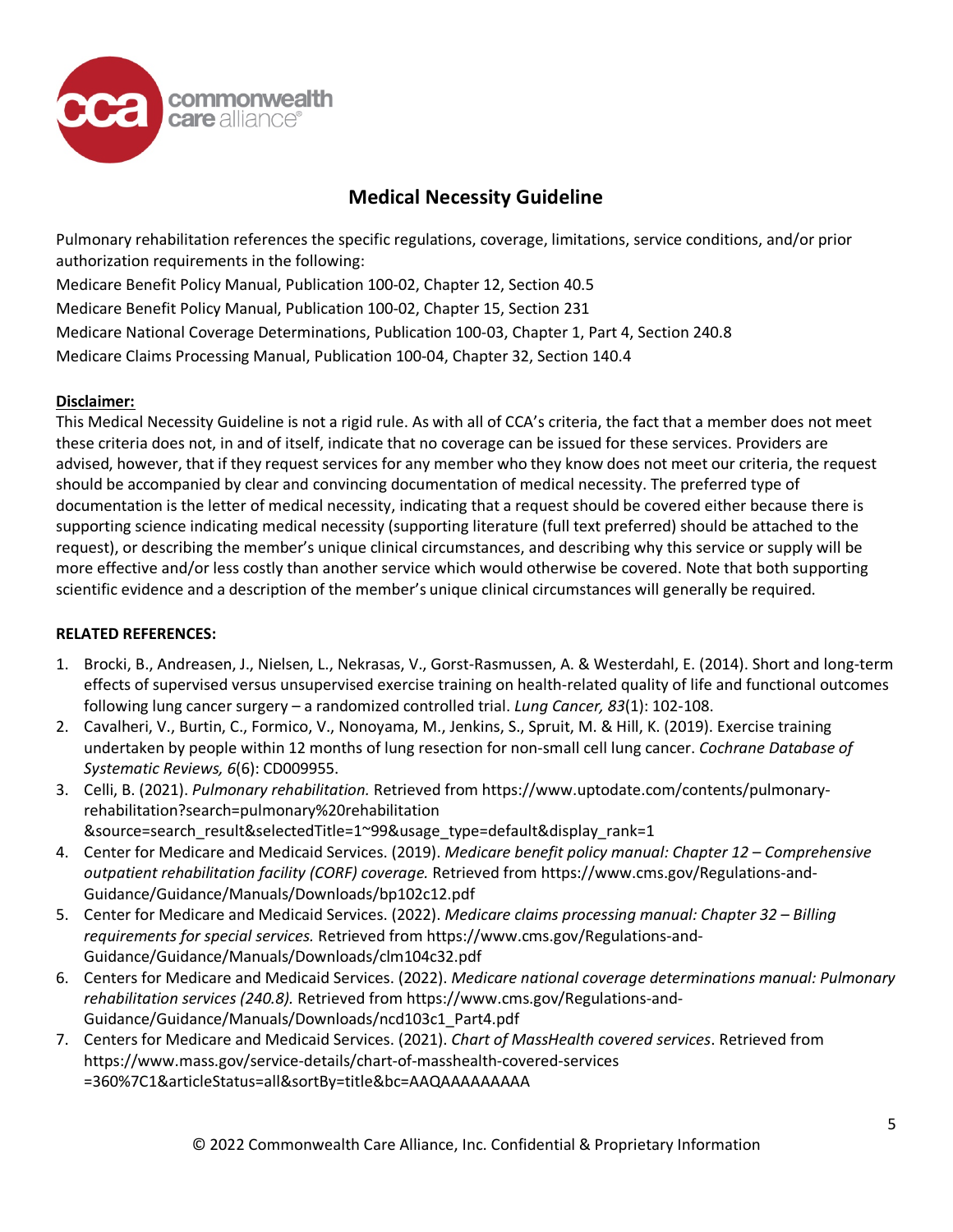

Pulmonary rehabilitation references the specific regulations, coverage, limitations, service conditions, and/or prior authorization requirements in the following:

Medicare Benefit Policy Manual, Publication 100-02, Chapter 12, Section 40.5

Medicare Benefit Policy Manual, Publication 100-02, Chapter 15, Section 231

Medicare National Coverage Determinations, Publication 100-03, Chapter 1, Part 4, Section 240.8

Medicare Claims Processing Manual, Publication 100-04, Chapter 32, Section 140.4

### **Disclaimer:**

This Medical Necessity Guideline is not a rigid rule. As with all of CCA's criteria, the fact that a member does not meet these criteria does not, in and of itself, indicate that no coverage can be issued for these services. Providers are advised, however, that if they request services for any member who they know does not meet our criteria, the request should be accompanied by clear and convincing documentation of medical necessity. The preferred type of documentation is the letter of medical necessity, indicating that a request should be covered either because there is supporting science indicating medical necessity (supporting literature (full text preferred) should be attached to the request), or describing the member's unique clinical circumstances, and describing why this service or supply will be more effective and/or less costly than another service which would otherwise be covered. Note that both supporting scientific evidence and a description of the member's unique clinical circumstances will generally be required.

### **RELATED REFERENCES:**

- 1. Brocki, B., Andreasen, J., Nielsen, L., Nekrasas, V., Gorst-Rasmussen, A. & Westerdahl, E. (2014). Short and long-term effects of supervised versus unsupervised exercise training on health-related quality of life and functional outcomes following lung cancer surgery – a randomized controlled trial. *Lung Cancer, 83*(1): 102-108.
- 2. Cavalheri, V., Burtin, C., Formico, V., Nonoyama, M., Jenkins, S., Spruit, M. & Hill, K. (2019). Exercise training undertaken by people within 12 months of lung resection for non-small cell lung cancer. *Cochrane Database of Systematic Reviews, 6*(6): CD009955.
- 3. Celli, B. (2021). *Pulmonary rehabilitation.* Retrieved from https://www.uptodate.com/contents/pulmonaryrehabilitation?search=pulmonary%20rehabilitation &source=search\_result&selectedTitle=1~99&usage\_type=default&display\_rank=1
- 4. Center for Medicare and Medicaid Services. (2019). *Medicare benefit policy manual: Chapter 12 – Comprehensive outpatient rehabilitation facility (CORF) coverage.* Retrieved from https://www.cms.gov/Regulations-and-Guidance/Guidance/Manuals/Downloads/bp102c12.pdf
- 5. Center for Medicare and Medicaid Services. (2022). *Medicare claims processing manual: Chapter 32 – Billing requirements for special services.* Retrieved from https://www.cms.gov/Regulations-and-Guidance/Guidance/Manuals/Downloads/clm104c32.pdf
- 6. Centers for Medicare and Medicaid Services. (2022). *Medicare national coverage determinations manual: Pulmonary rehabilitation services (240.8).* Retrieved from https://www.cms.gov/Regulations-and-Guidance/Guidance/Manuals/Downloads/ncd103c1\_Part4.pdf
- 7. Centers for Medicare and Medicaid Services. (2021). *Chart of MassHealth covered services*. Retrieved from https://www.mass.gov/service-details/chart-of-masshealth-covered-services =360%7C1&articleStatus=all&sortBy=title&bc=AAQAAAAAAAAA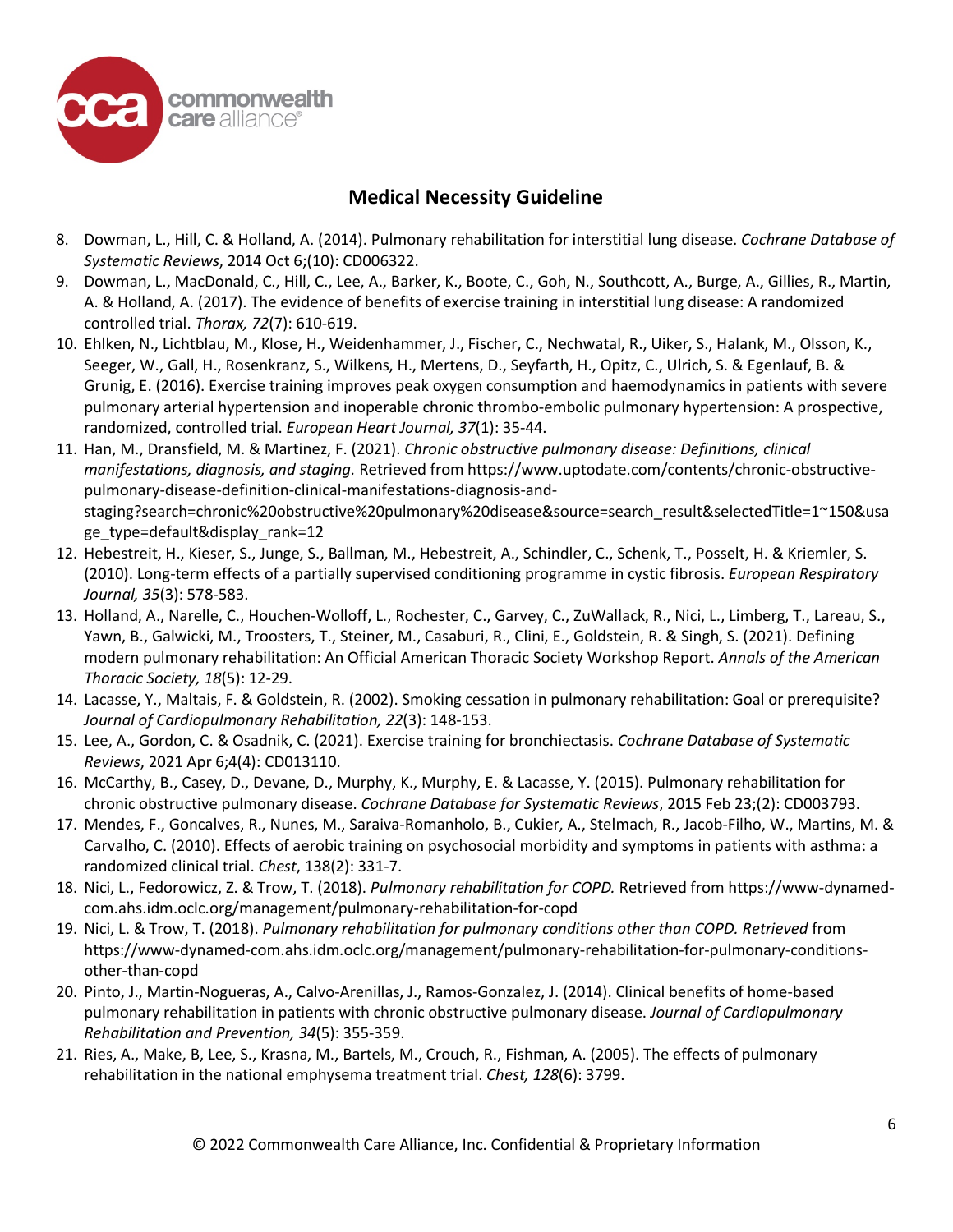

- 8. Dowman, L., Hill, C. & Holland, A. (2014). Pulmonary rehabilitation for interstitial lung disease. *Cochrane Database of Systematic Reviews*, 2014 Oct 6;(10): CD006322.
- 9. Dowman, L., MacDonald, C., Hill, C., Lee, A., Barker, K., Boote, C., Goh, N., Southcott, A., Burge, A., Gillies, R., Martin, A. & Holland, A. (2017). The evidence of benefits of exercise training in interstitial lung disease: A randomized controlled trial. *Thorax, 72*(7): 610-619.
- 10. Ehlken, N., Lichtblau, M., Klose, H., Weidenhammer, J., Fischer, C., Nechwatal, R., Uiker, S., Halank, M., Olsson, K., Seeger, W., Gall, H., Rosenkranz, S., Wilkens, H., Mertens, D., Seyfarth, H., Opitz, C., Ulrich, S. & Egenlauf, B. & Grunig, E. (2016). Exercise training improves peak oxygen consumption and haemodynamics in patients with severe pulmonary arterial hypertension and inoperable chronic thrombo-embolic pulmonary hypertension: A prospective, randomized, controlled trial. *European Heart Journal, 37*(1): 35-44.
- 11. Han, M., Dransfield, M. & Martinez, F. (2021). *Chronic obstructive pulmonary disease: Definitions, clinical manifestations, diagnosis, and staging.* Retrieved from https://www.uptodate.com/contents/chronic-obstructivepulmonary-disease-definition-clinical-manifestations-diagnosis-andstaging?search=chronic%20obstructive%20pulmonary%20disease&source=search\_result&selectedTitle=1~150&usa ge\_type=default&display\_rank=12
- 12. Hebestreit, H., Kieser, S., Junge, S., Ballman, M., Hebestreit, A., Schindler, C., Schenk, T., Posselt, H. & Kriemler, S. (2010). Long-term effects of a partially supervised conditioning programme in cystic fibrosis. *European Respiratory Journal, 35*(3): 578-583.
- 13. Holland, A., Narelle, C., Houchen-Wolloff, L., Rochester, C., Garvey, C., ZuWallack, R., Nici, L., Limberg, T., Lareau, S., Yawn, B., Galwicki, M., Troosters, T., Steiner, M., Casaburi, R., Clini, E., Goldstein, R. & Singh, S. (2021). Defining modern pulmonary rehabilitation: An Official American Thoracic Society Workshop Report. *Annals of the American Thoracic Society, 18*(5): 12-29.
- 14. Lacasse, Y., Maltais, F. & Goldstein, R. (2002). Smoking cessation in pulmonary rehabilitation: Goal or prerequisite? *Journal of Cardiopulmonary Rehabilitation, 22*(3): 148-153.
- 15. Lee, A., Gordon, C. & Osadnik, C. (2021). Exercise training for bronchiectasis. *Cochrane Database of Systematic Reviews*, 2021 Apr 6;4(4): CD013110.
- 16. McCarthy, B., Casey, D., Devane, D., Murphy, K., Murphy, E. & Lacasse, Y. (2015). Pulmonary rehabilitation for chronic obstructive pulmonary disease. *Cochrane Database for Systematic Reviews*, 2015 Feb 23;(2): CD003793.
- 17. Mendes, F., Goncalves, R., Nunes, M., Saraiva-Romanholo, B., Cukier, A., Stelmach, R., Jacob-Filho, W., Martins, M. & Carvalho, C. (2010). Effects of aerobic training on psychosocial morbidity and symptoms in patients with asthma: a randomized clinical trial. *Chest*, 138(2): 331-7.
- 18. Nici, L., Fedorowicz, Z. & Trow, T. (2018). *Pulmonary rehabilitation for COPD.* Retrieved from https://www-dynamedcom.ahs.idm.oclc.org/management/pulmonary-rehabilitation-for-copd
- 19. Nici, L. & Trow, T. (2018). *Pulmonary rehabilitation for pulmonary conditions other than COPD. Retrieved* from https://www-dynamed-com.ahs.idm.oclc.org/management/pulmonary-rehabilitation-for-pulmonary-conditionsother-than-copd
- 20. Pinto, J., Martin-Nogueras, A., Calvo-Arenillas, J., Ramos-Gonzalez, J. (2014). Clinical benefits of home-based pulmonary rehabilitation in patients with chronic obstructive pulmonary disease. *Journal of Cardiopulmonary Rehabilitation and Prevention, 34*(5): 355-359.
- 21. Ries, A., Make, B, Lee, S., Krasna, M., Bartels, M., Crouch, R., Fishman, A. (2005). The effects of pulmonary rehabilitation in the national emphysema treatment trial. *Chest, 128*(6): 3799.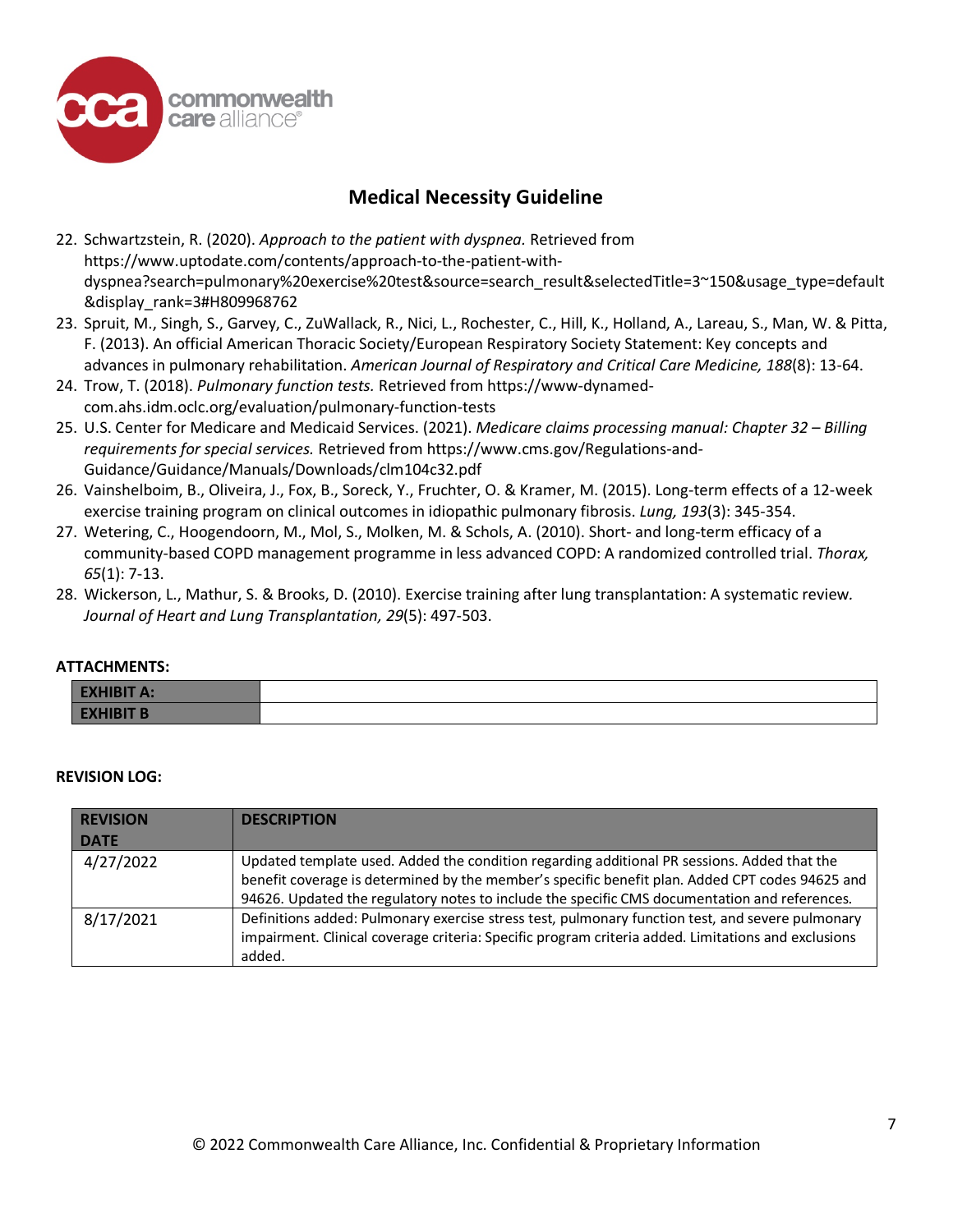

- 22. Schwartzstein, R. (2020). *Approach to the patient with dyspnea.* Retrieved from https://www.uptodate.com/contents/approach-to-the-patient-withdyspnea?search=pulmonary%20exercise%20test&source=search\_result&selectedTitle=3~150&usage\_type=default &display\_rank=3#H809968762
- 23. Spruit, M., Singh, S., Garvey, C., ZuWallack, R., Nici, L., Rochester, C., Hill, K., Holland, A., Lareau, S., Man, W. & Pitta, F. (2013). An official American Thoracic Society/European Respiratory Society Statement: Key concepts and advances in pulmonary rehabilitation. *American Journal of Respiratory and Critical Care Medicine, 188*(8): 13-64.
- 24. Trow, T. (2018). *Pulmonary function tests.* Retrieved from https://www-dynamedcom.ahs.idm.oclc.org/evaluation/pulmonary-function-tests
- 25. U.S. Center for Medicare and Medicaid Services. (2021). *Medicare claims processing manual: Chapter 32 – Billing requirements for special services.* Retrieved from https://www.cms.gov/Regulations-and-Guidance/Guidance/Manuals/Downloads/clm104c32.pdf
- 26. Vainshelboim, B., Oliveira, J., Fox, B., Soreck, Y., Fruchter, O. & Kramer, M. (2015). Long-term effects of a 12-week exercise training program on clinical outcomes in idiopathic pulmonary fibrosis. *Lung, 193*(3): 345-354.
- 27. Wetering, C., Hoogendoorn, M., Mol, S., Molken, M. & Schols, A. (2010). Short- and long-term efficacy of a community-based COPD management programme in less advanced COPD: A randomized controlled trial. *Thorax, 65*(1): 7-13.
- 28. Wickerson, L., Mathur, S. & Brooks, D. (2010). Exercise training after lung transplantation: A systematic review*. Journal of Heart and Lung Transplantation, 29*(5): 497-503.

### **ATTACHMENTS:**

| NT.<br>ГV<br><b>LATIDI A.</b> |  |
|-------------------------------|--|
| <b>FM</b><br><u>LAIRDILD</u>  |  |

#### **REVISION LOG:**

| <b>REVISION</b><br><b>DATE</b> | <b>DESCRIPTION</b>                                                                                                                                                                                                                                                                              |
|--------------------------------|-------------------------------------------------------------------------------------------------------------------------------------------------------------------------------------------------------------------------------------------------------------------------------------------------|
| 4/27/2022                      | Updated template used. Added the condition regarding additional PR sessions. Added that the<br>benefit coverage is determined by the member's specific benefit plan. Added CPT codes 94625 and<br>94626. Updated the regulatory notes to include the specific CMS documentation and references. |
| 8/17/2021                      | Definitions added: Pulmonary exercise stress test, pulmonary function test, and severe pulmonary<br>impairment. Clinical coverage criteria: Specific program criteria added. Limitations and exclusions<br>added.                                                                               |